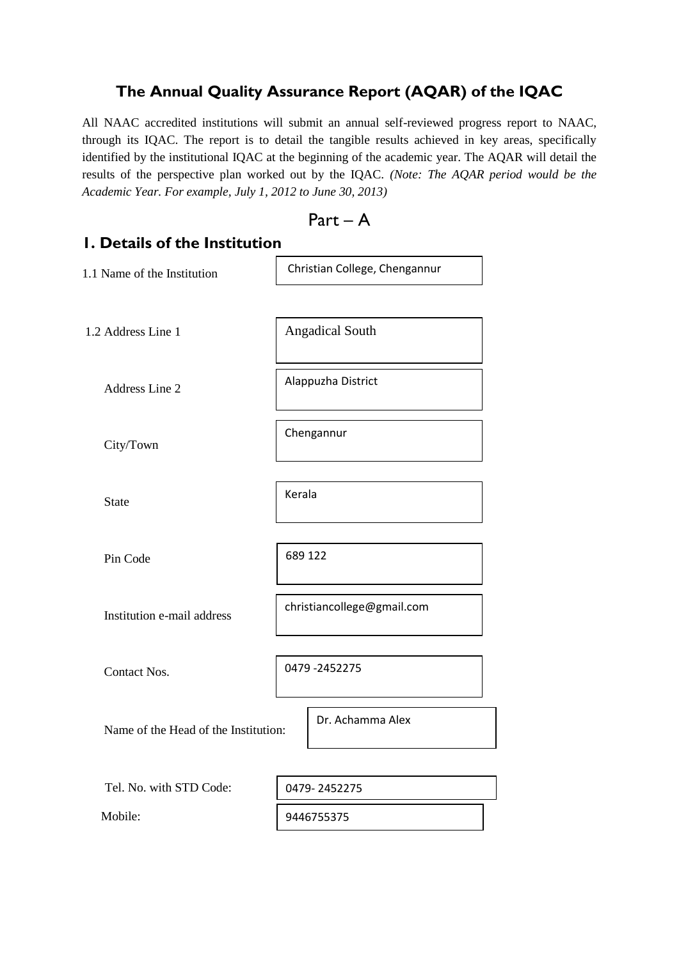## **The Annual Quality Assurance Report (AQAR) of the IQAC**

All NAAC accredited institutions will submit an annual self-reviewed progress report to NAAC, through its IQAC. The report is to detail the tangible results achieved in key areas, specifically identified by the institutional IQAC at the beginning of the academic year. The AQAR will detail the results of the perspective plan worked out by the IQAC. *(Note: The AQAR period would be the Academic Year. For example, July 1, 2012 to June 30, 2013)*

$$
\mathsf{Part} - \mathsf{A}
$$

| I. Details of the Institution        |                               |  |  |  |  |
|--------------------------------------|-------------------------------|--|--|--|--|
| 1.1 Name of the Institution          | Christian College, Chengannur |  |  |  |  |
| 1.2 Address Line 1                   | <b>Angadical South</b>        |  |  |  |  |
| <b>Address Line 2</b>                | Alappuzha District            |  |  |  |  |
| City/Town                            | Chengannur                    |  |  |  |  |
| <b>State</b>                         | Kerala                        |  |  |  |  |
| Pin Code                             | 689 122                       |  |  |  |  |
| Institution e-mail address           | christiancollege@gmail.com    |  |  |  |  |
| <b>Contact Nos.</b>                  | 0479 - 2452275                |  |  |  |  |
| Name of the Head of the Institution: | Dr. Achamma Alex              |  |  |  |  |
| Tel. No. with STD Code:              | 0479-2452275                  |  |  |  |  |
| Mobile:                              | 9446755375                    |  |  |  |  |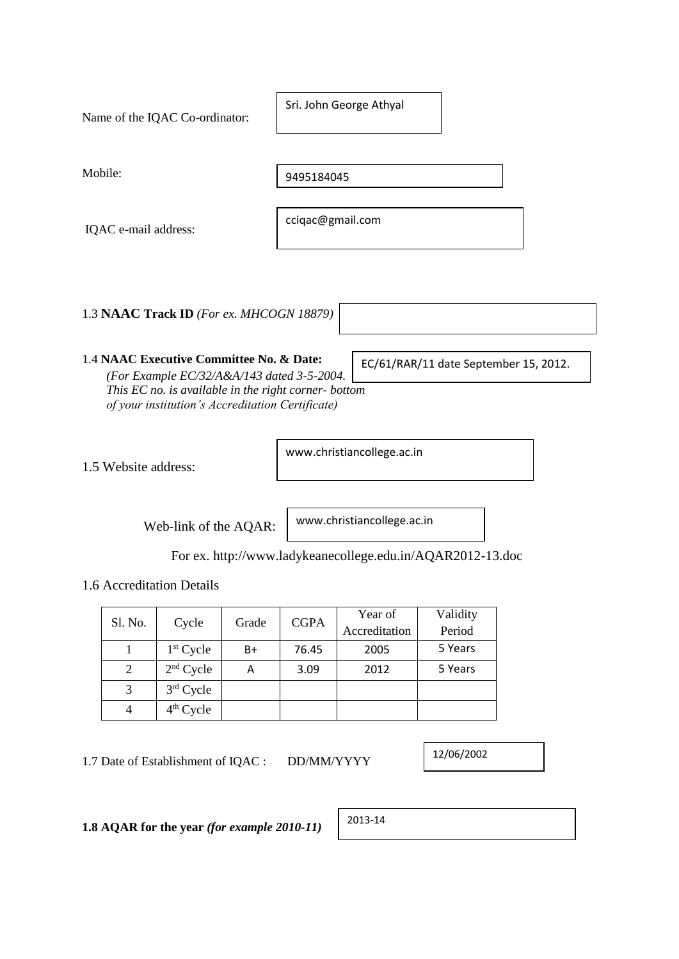| Name of the IQAC Co-ordinator:           | Sri. John George Athyal |
|------------------------------------------|-------------------------|
| Mobile:                                  | 9495184045              |
| IQAC e-mail address:                     | cciqac@gmail.com        |
| 1.3 NAAC Track ID (For ex. MHCOGN 18879) |                         |

### 1.4 **NAAC Executive Committee No. & Date:** *(For Example EC/32/A&A/143 dated 3-5-2004. This EC no. is available in the right corner- bottom of your institution's Accreditation Certificate)*

1.5 Website address:

www.christiancollege.ac.in

Web-link of the AQAR:

www.christiancollege.ac.in

For ex. http://www.ladykeanecollege.edu.in/AQAR2012-13.doc

1.6 Accreditation Details

| Sl. No. |             | <b>CGPA</b> | Year of | Validity      |         |  |
|---------|-------------|-------------|---------|---------------|---------|--|
|         | Cycle       | Grade       |         | Accreditation | Period  |  |
|         | $1st$ Cycle | $B+$        | 76.45   | 2005          | 5 Years |  |
|         | $2nd$ Cycle | А           | 3.09    | 2012          | 5 Years |  |
|         | $3rd$ Cycle |             |         |               |         |  |
|         | $4th$ Cycle |             |         |               |         |  |

1.7 Date of Establishment of IQAC : DD/MM/YYYY

12/06/2002

EC/61/RAR/11 date September 15, 2012.

**1.8 AQAR for the year** *(for example 2010-11)* 2013-14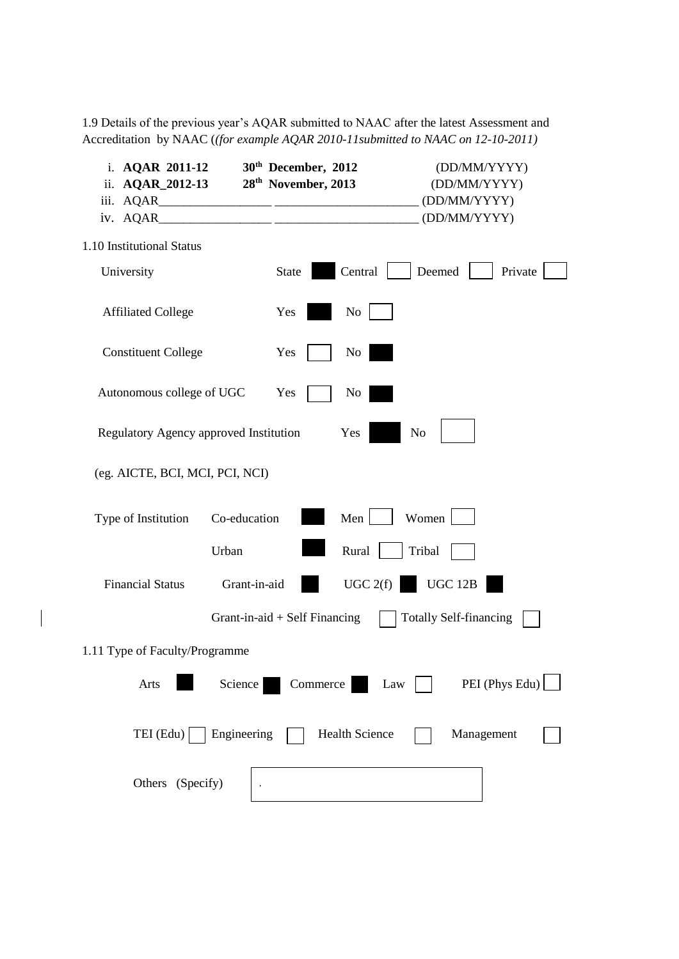1.9 Details of the previous year's AQAR submitted to NAAC after the latest Assessment and Accreditation by NAAC (*(for example AQAR 2010-11submitted to NAAC on 12-10-2011)*

| i. AQAR 2011-12<br>ii. <b>AQAR_2012-13</b> |              | 30 <sup>th</sup> December, 2012<br>28 <sup>th</sup> November, 2013 |                       |        | (DD/MM/YYYY)<br>(DD/MM/YYYY)<br>(DD/MM/YYYY) |         |
|--------------------------------------------|--------------|--------------------------------------------------------------------|-----------------------|--------|----------------------------------------------|---------|
|                                            |              |                                                                    |                       |        | (DD/MM/YYYY)                                 |         |
| 1.10 Institutional Status                  |              |                                                                    |                       |        |                                              |         |
| University                                 |              | State                                                              | Central               | Deemed |                                              | Private |
| <b>Affiliated College</b>                  |              | Yes                                                                | N <sub>0</sub>        |        |                                              |         |
| <b>Constituent College</b>                 |              | Yes                                                                | N <sub>0</sub>        |        |                                              |         |
| Autonomous college of UGC                  |              | Yes                                                                | No                    |        |                                              |         |
| Regulatory Agency approved Institution     |              |                                                                    | Yes                   | No     |                                              |         |
| (eg. AICTE, BCI, MCI, PCI, NCI)            |              |                                                                    |                       |        |                                              |         |
| Type of Institution                        | Co-education |                                                                    | Men                   | Women  |                                              |         |
|                                            | Urban        |                                                                    | Rural                 | Tribal |                                              |         |
| <b>Financial Status</b>                    | Grant-in-aid |                                                                    | UGC 2(f)              |        | <b>UGC 12B</b>                               |         |
|                                            |              | Grant-in-aid $+$ Self Financing                                    |                       |        | <b>Totally Self-financing</b>                |         |
| 1.11 Type of Faculty/Programme             |              |                                                                    |                       |        |                                              |         |
| Arts                                       | Science      | Commerce                                                           |                       | Law    | PEI (Phys Edu) $\lfloor$                     |         |
| $TEI$ (Edu)                                | Engineering  |                                                                    | <b>Health Science</b> |        | Management                                   |         |
| Others (Specify)                           |              |                                                                    |                       |        |                                              |         |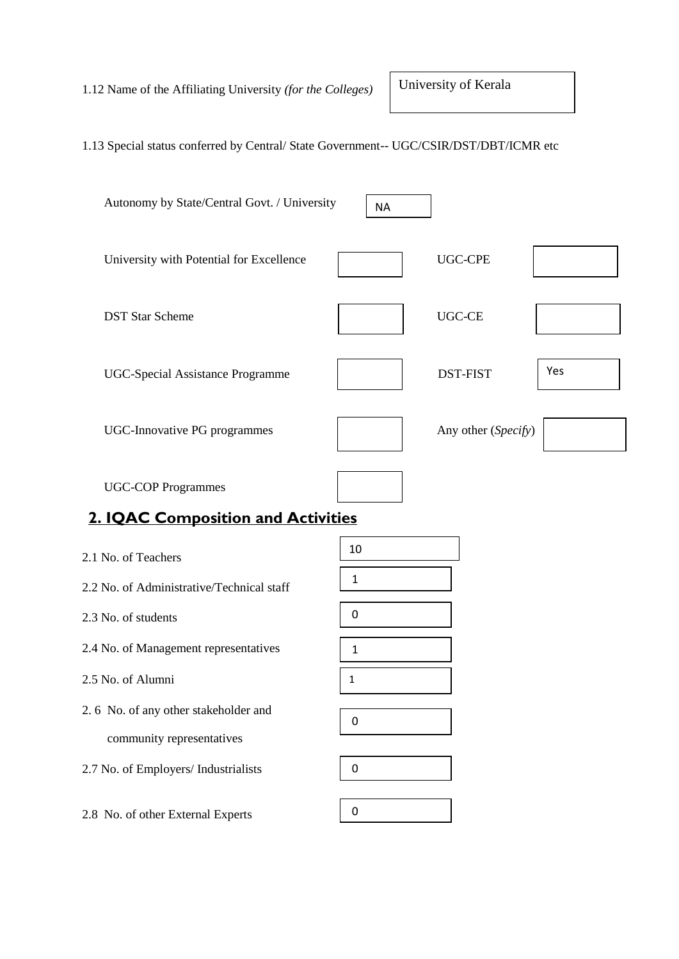1.12 Name of the Affiliating University *(for the Colleges)*

University of Kerala

## 1.13 Special status conferred by Central/ State Government-- UGC/CSIR/DST/DBT/ICMR etc



| 2.1 No. of Teachers                       | 10 |
|-------------------------------------------|----|
| 2.2 No. of Administrative/Technical staff | 1  |
| 2.3 No. of students                       | 0  |
| 2.4 No. of Management representatives     | 1  |
| 2.5 No. of Alumni                         | 1  |
| 2.6 No. of any other stakeholder and      | 0  |
| community representatives                 |    |
| 2.7 No. of Employers/ Industrialists      | O  |
|                                           |    |
| 2.8 No. of other External Experts         |    |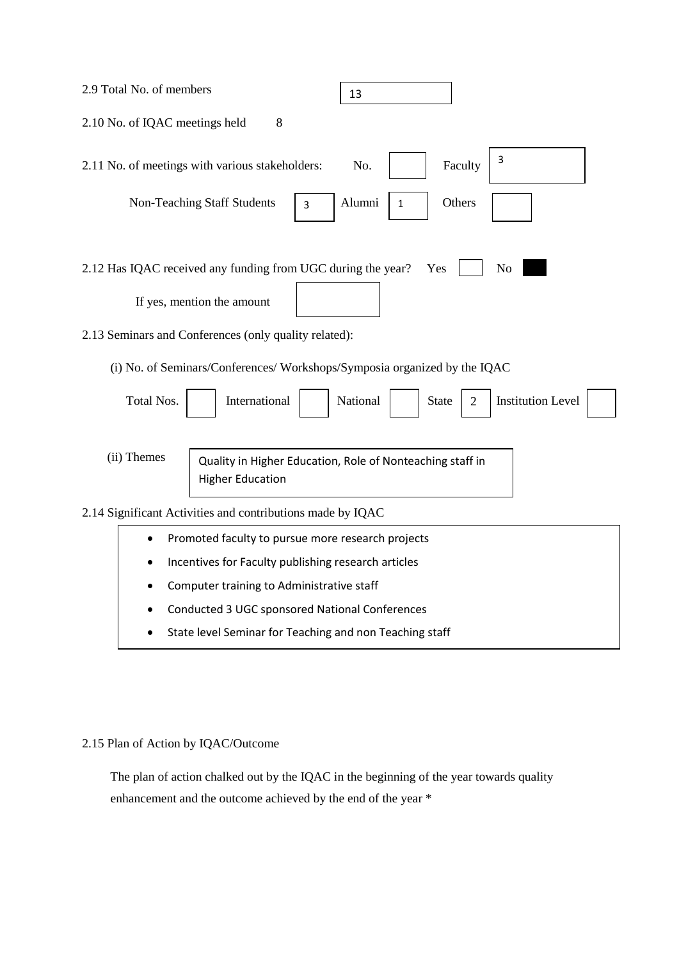| 2.9 Total No. of members                                                                    | 13                                                        |
|---------------------------------------------------------------------------------------------|-----------------------------------------------------------|
| 2.10 No. of IQAC meetings held<br>8                                                         |                                                           |
| 2.11 No. of meetings with various stakeholders:                                             | 3<br>No.<br>Faculty                                       |
| Non-Teaching Staff Students<br>3                                                            | Others<br>Alumni<br>1                                     |
| 2.12 Has IQAC received any funding from UGC during the year?<br>If yes, mention the amount  | N <sub>o</sub><br>Yes                                     |
| 2.13 Seminars and Conferences (only quality related):                                       |                                                           |
| (i) No. of Seminars/Conferences/ Workshops/Symposia organized by the IQAC                   |                                                           |
| Total Nos.<br>International                                                                 | <b>Institution Level</b><br>National<br><b>State</b><br>2 |
| (ii) Themes<br><b>Higher Education</b>                                                      | Quality in Higher Education, Role of Nonteaching staff in |
| 2.14 Significant Activities and contributions made by IQAC                                  |                                                           |
| Promoted faculty to pursue more research projects                                           |                                                           |
| Incentives for Faculty publishing research articles                                         |                                                           |
| Computer training to Administrative staff<br>Conducted 3 UGC sponsored National Conferences |                                                           |
| State level Seminar for Teaching and non Teaching staff                                     |                                                           |
|                                                                                             |                                                           |

## 2.15 Plan of Action by IQAC/Outcome

 The plan of action chalked out by the IQAC in the beginning of the year towards quality enhancement and the outcome achieved by the end of the year \*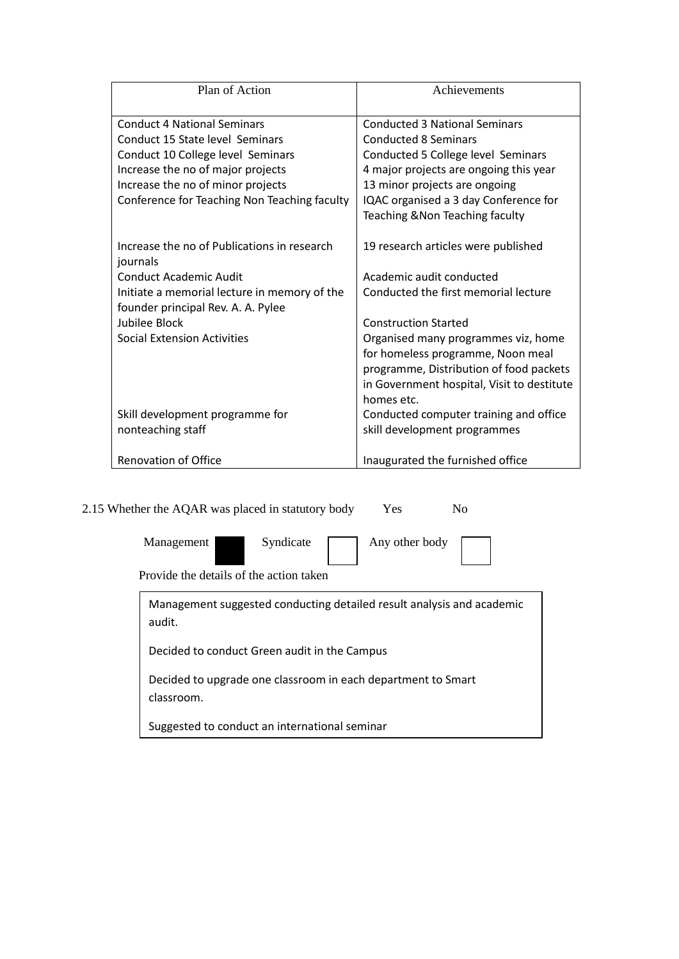| Plan of Action                                          | Achievements                               |
|---------------------------------------------------------|--------------------------------------------|
| <b>Conduct 4 National Seminars</b>                      | <b>Conducted 3 National Seminars</b>       |
| Conduct 15 State level Seminars                         | <b>Conducted 8 Seminars</b>                |
| Conduct 10 College level Seminars                       | Conducted 5 College level Seminars         |
| Increase the no of major projects                       | 4 major projects are ongoing this year     |
| Increase the no of minor projects                       | 13 minor projects are ongoing              |
| Conference for Teaching Non Teaching faculty            | IQAC organised a 3 day Conference for      |
|                                                         | Teaching & Non Teaching faculty            |
|                                                         |                                            |
| Increase the no of Publications in research<br>journals | 19 research articles were published        |
| <b>Conduct Academic Audit</b>                           | Academic audit conducted                   |
| Initiate a memorial lecture in memory of the            | Conducted the first memorial lecture       |
| founder principal Rev. A. A. Pylee                      |                                            |
| Jubilee Block                                           | <b>Construction Started</b>                |
| <b>Social Extension Activities</b>                      | Organised many programmes viz, home        |
|                                                         | for homeless programme, Noon meal          |
|                                                         | programme, Distribution of food packets    |
|                                                         | in Government hospital, Visit to destitute |
|                                                         | homes etc.                                 |
| Skill development programme for                         | Conducted computer training and office     |
| nonteaching staff                                       | skill development programmes               |
| <b>Renovation of Office</b>                             | Inaugurated the furnished office           |

2.15 Whether the AQAR was placed in statutory body Yes No

| Management                                                            | Syndicate | Any other body |  |
|-----------------------------------------------------------------------|-----------|----------------|--|
| Provide the details of the action taken                               |           |                |  |
| Management suggested conducting detailed result analysis and academic |           |                |  |

audit. Decided to conduct Green audit in the Campus Decided to upgrade one classroom in each department to Smart classroom.

Suggested to conduct an international seminar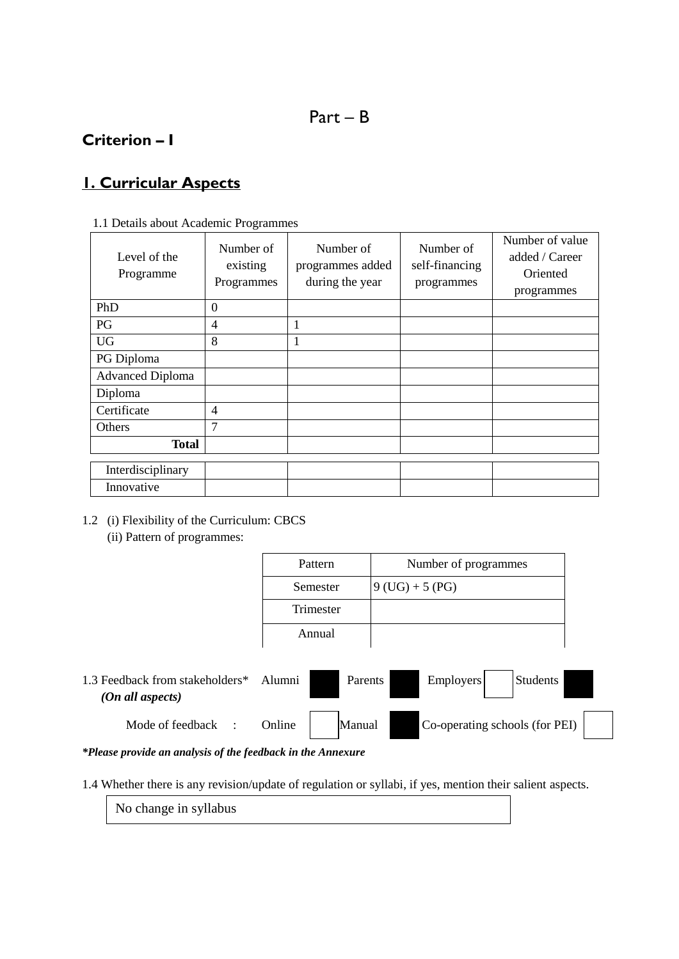# Part – B

# **Criterion – I**

# **1. Curricular Aspects**

## 1.1 Details about Academic Programmes

| Level of the<br>Programme | Number of<br>existing<br>Programmes | Number of<br>programmes added<br>during the year | Number of<br>self-financing<br>programmes | Number of value<br>added / Career<br>Oriented<br>programmes |
|---------------------------|-------------------------------------|--------------------------------------------------|-------------------------------------------|-------------------------------------------------------------|
| PhD                       | $\theta$                            |                                                  |                                           |                                                             |
| PG                        | 4                                   | 1                                                |                                           |                                                             |
| <b>UG</b>                 | 8                                   | 1                                                |                                           |                                                             |
| PG Diploma                |                                     |                                                  |                                           |                                                             |
| <b>Advanced Diploma</b>   |                                     |                                                  |                                           |                                                             |
| Diploma                   |                                     |                                                  |                                           |                                                             |
| Certificate               | $\overline{4}$                      |                                                  |                                           |                                                             |
| Others                    | 7                                   |                                                  |                                           |                                                             |
| Total                     |                                     |                                                  |                                           |                                                             |
|                           |                                     |                                                  |                                           |                                                             |
| Interdisciplinary         |                                     |                                                  |                                           |                                                             |
| Innovative                |                                     |                                                  |                                           |                                                             |

## 1.2 (i) Flexibility of the Curriculum: CBCS

(ii) Pattern of programmes:

| Pattern   | Number of programmes |
|-----------|----------------------|
| Semester  | $9$ (UG) + 5 (PG)    |
| Trimester |                      |
| Annual    |                      |

| 1.3 Feedback from stakeholders $*$<br>(On all aspects) | Alumni | Parents | Employers | Students                       |
|--------------------------------------------------------|--------|---------|-----------|--------------------------------|
| Mode of feedback                                       | Online | Manual  |           | Co-operating schools (for PEI) |

*\*Please provide an analysis of the feedback in the Annexure*

1.4 Whether there is any revision/update of regulation or syllabi, if yes, mention their salient aspects.

No change in syllabus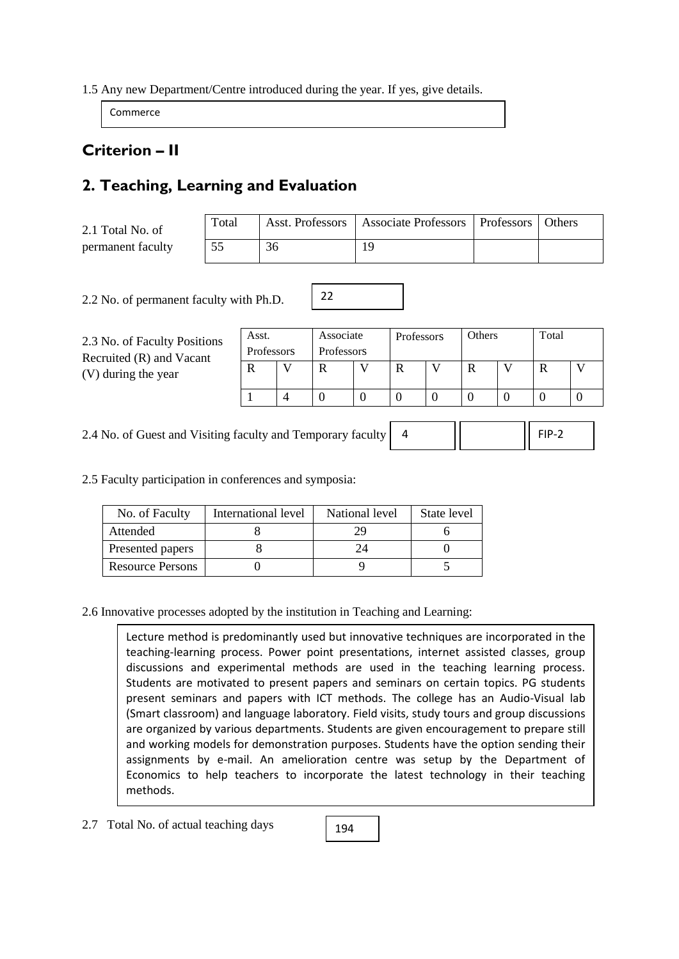### 1.5 Any new Department/Centre introduced during the year. If yes, give details.

Commerce

# **Criterion – II**

# **2. Teaching, Learning and Evaluation**

| 2.1 Total No. of  | Total |    | Asst. Professors   Associate Professors   Professors | <b>Others</b> |
|-------------------|-------|----|------------------------------------------------------|---------------|
| permanent faculty |       | 36 | 1 Q                                                  |               |

22

2.2 No. of permanent faculty with Ph.D.

2.3 No. of Faculty Positions Recruited (R) and Vacant (V) during the year

| Asst.      | Associate  | Professors | Others | Total |  |
|------------|------------|------------|--------|-------|--|
| Professors | Professors |            |        |       |  |
|            |            |            |        |       |  |
|            |            |            |        |       |  |
|            |            |            |        |       |  |

2.4 No. of Guest and Visiting faculty and Temporary faculty 4 FIP-2

2.5 Faculty participation in conferences and symposia:

| No. of Faculty          | International level | National level | State level |
|-------------------------|---------------------|----------------|-------------|
| Attended                |                     | 29             |             |
| Presented papers        |                     |                |             |
| <b>Resource Persons</b> |                     |                |             |

2.6 Innovative processes adopted by the institution in Teaching and Learning:

Lecture method is predominantly used but innovative techniques are incorporated in the teaching-learning process. Power point presentations, internet assisted classes, group discussions and experimental methods are used in the teaching learning process. Students are motivated to present papers and seminars on certain topics. PG students present seminars and papers with ICT methods. The college has an Audio-Visual lab (Smart classroom) and language laboratory. Field visits, study tours and group discussions are organized by various departments. Students are given encouragement to prepare still and working models for demonstration purposes. Students have the option sending their assignments by e-mail. An amelioration centre was setup by the Department of Economics to help teachers to incorporate the latest technology in their teaching methods.

194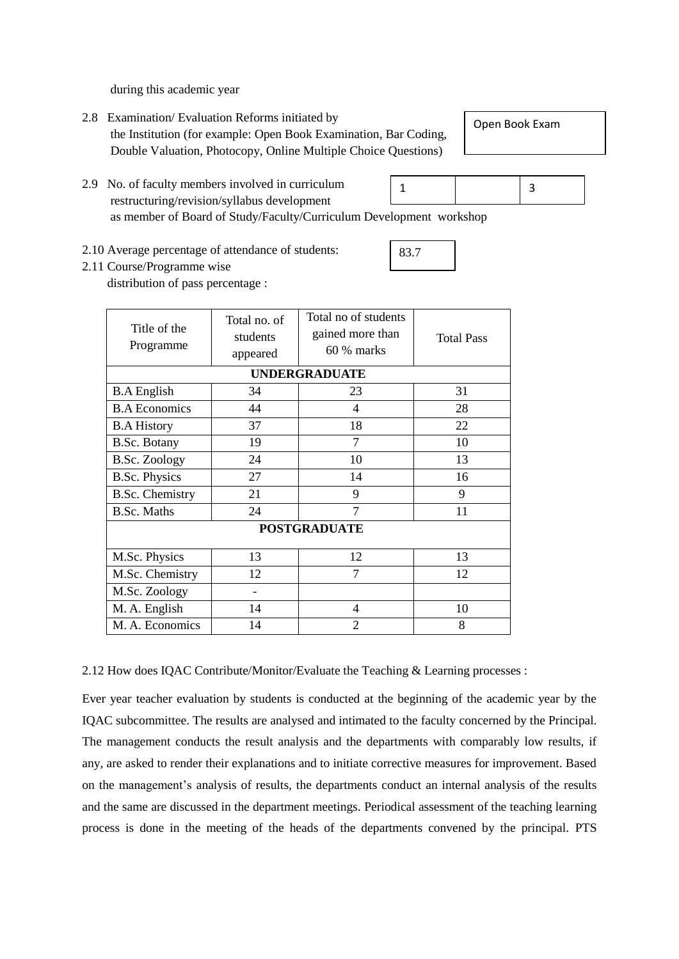during this academic year

- 2.8 Examination/ Evaluation Reforms initiated by the Institution (for example: Open Book Examination, Bar Coding, Double Valuation, Photocopy, Online Multiple Choice Questions)
- 2.9 No. of faculty members involved in curriculum restructuring/revision/syllabus development as member of Board of Study/Faculty/Curriculum Development workshop 3 1
- 2.10 Average percentage of attendance of students:

# 2.11 Course/Programme wise

distribution of pass percentage :

| Title of the<br>Programme | Total no of students<br>Total no. of<br>gained more than<br>students<br>60 % marks<br>appeared |                      | <b>Total Pass</b> |
|---------------------------|------------------------------------------------------------------------------------------------|----------------------|-------------------|
|                           |                                                                                                | <b>UNDERGRADUATE</b> |                   |
| <b>B.A</b> English        | 34                                                                                             | 23                   | 31                |
| <b>B.A Economics</b>      | 44                                                                                             | 4                    | 28                |
| <b>B.A History</b>        | 37                                                                                             | 18                   | 22                |
| B.Sc. Botany              | 19                                                                                             | 7                    | 10                |
| <b>B.Sc. Zoology</b>      | 24                                                                                             | 10                   | 13                |
| <b>B.Sc. Physics</b>      | 27                                                                                             | 14                   | 16                |
| <b>B.Sc. Chemistry</b>    | 21                                                                                             | 9                    | 9                 |
| <b>B.Sc. Maths</b>        | 24                                                                                             | 7                    | 11                |
|                           |                                                                                                | <b>POSTGRADUATE</b>  |                   |
| M.Sc. Physics             | 13                                                                                             | 12                   | 13                |
| M.Sc. Chemistry           | 12                                                                                             | 7                    | 12                |
| M.Sc. Zoology             |                                                                                                |                      |                   |
| M. A. English             | 14                                                                                             | 4                    | 10                |
| M. A. Economics           | 14                                                                                             | $\mathfrak{D}$       | 8                 |

2.12 How does IQAC Contribute/Monitor/Evaluate the Teaching & Learning processes :

Ever year teacher evaluation by students is conducted at the beginning of the academic year by the IQAC subcommittee. The results are analysed and intimated to the faculty concerned by the Principal. The management conducts the result analysis and the departments with comparably low results, if any, are asked to render their explanations and to initiate corrective measures for improvement. Based on the management's analysis of results, the departments conduct an internal analysis of the results and the same are discussed in the department meetings. Periodical assessment of the teaching learning process is done in the meeting of the heads of the departments convened by the principal. PTS

Open Book Exam

83.7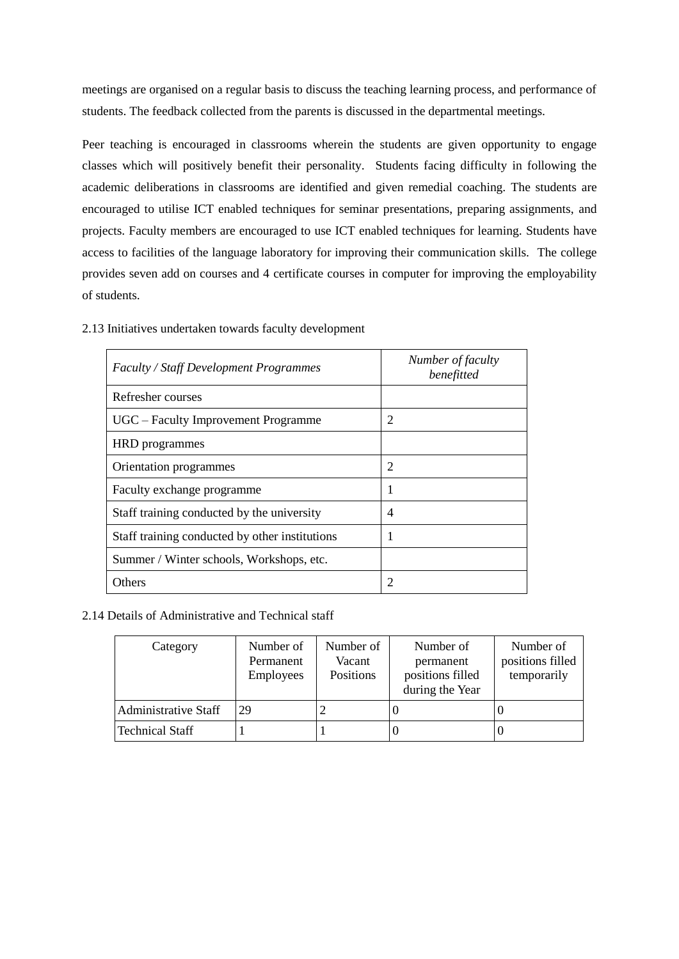meetings are organised on a regular basis to discuss the teaching learning process, and performance of students. The feedback collected from the parents is discussed in the departmental meetings.

Peer teaching is encouraged in classrooms wherein the students are given opportunity to engage classes which will positively benefit their personality. Students facing difficulty in following the academic deliberations in classrooms are identified and given remedial coaching. The students are encouraged to utilise ICT enabled techniques for seminar presentations, preparing assignments, and projects. Faculty members are encouraged to use ICT enabled techniques for learning. Students have access to facilities of the language laboratory for improving their communication skills. The college provides seven add on courses and 4 certificate courses in computer for improving the employability of students.

| <b>Faculty / Staff Development Programmes</b>  | Number of faculty<br>benefitted |
|------------------------------------------------|---------------------------------|
| Refresher courses                              |                                 |
| UGC – Faculty Improvement Programme            | 2                               |
| <b>HRD</b> programmes                          |                                 |
| Orientation programmes                         | $\overline{2}$                  |
| Faculty exchange programme                     | 1                               |
| Staff training conducted by the university     | 4                               |
| Staff training conducted by other institutions |                                 |
| Summer / Winter schools, Workshops, etc.       |                                 |
| Others                                         | $\mathfrak{D}$                  |

2.13 Initiatives undertaken towards faculty development

#### 2.14 Details of Administrative and Technical staff

| Category                    | Number of<br>Permanent<br><b>Employees</b> | Number of<br>Vacant<br>Positions | Number of<br>permanent<br>positions filled<br>during the Year | Number of<br>positions filled<br>temporarily |
|-----------------------------|--------------------------------------------|----------------------------------|---------------------------------------------------------------|----------------------------------------------|
| <b>Administrative Staff</b> | 29                                         |                                  | U                                                             |                                              |
| <b>Technical Staff</b>      |                                            |                                  |                                                               |                                              |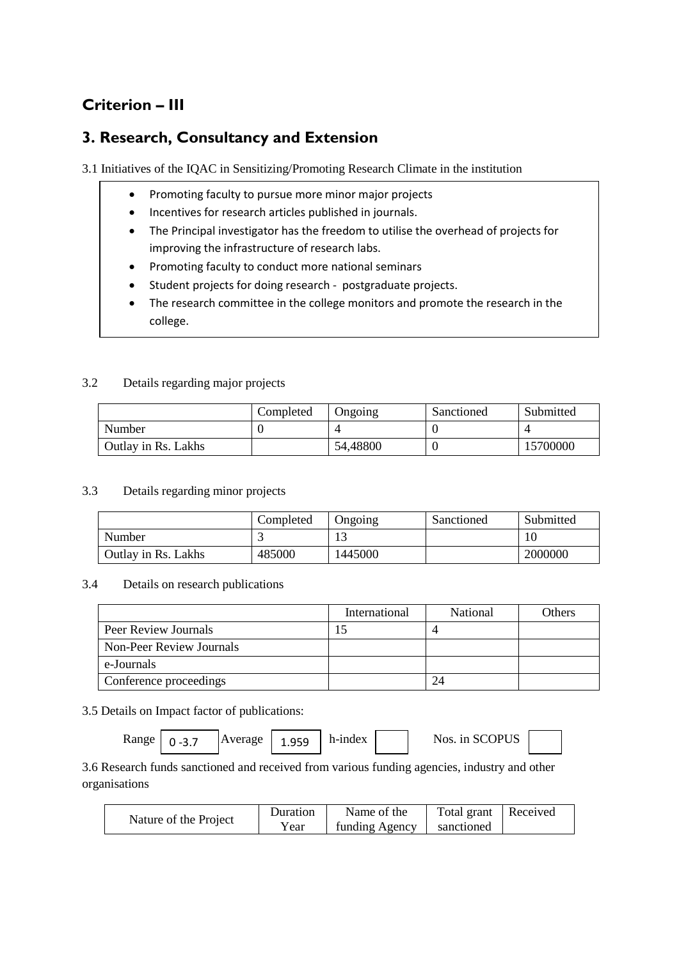# **Criterion – III**

## **3. Research, Consultancy and Extension**

3.1 Initiatives of the IQAC in Sensitizing/Promoting Research Climate in the institution

- Promoting faculty to pursue more minor major projects
- Incentives for research articles published in journals.
- The Principal investigator has the freedom to utilise the overhead of projects for improving the infrastructure of research labs.
- Promoting faculty to conduct more national seminars
- Student projects for doing research postgraduate projects.
- The research committee in the college monitors and promote the research in the college.

## 3.2 Details regarding major projects

|                     | Completed | Ongoing  | Sanctioned | Submitted |
|---------------------|-----------|----------|------------|-----------|
| Number              |           |          |            |           |
| Outlay in Rs. Lakhs |           | 54,48800 |            | 15700000  |

### 3.3 Details regarding minor projects

|                     | Completed | Ongoing       | Sanctioned | Submitted |
|---------------------|-----------|---------------|------------|-----------|
| Number              |           | $\sim$<br>⊥ J |            | 10        |
| Outlay in Rs. Lakhs | 485000    | 1445000       |            | 2000000   |

#### 3.4 Details on research publications

|                          | International | National | Others |
|--------------------------|---------------|----------|--------|
| Peer Review Journals     |               |          |        |
| Non-Peer Review Journals |               |          |        |
| e-Journals               |               |          |        |
| Conference proceedings   |               | 24       |        |

## 3.5 Details on Impact factor of publications:

| Range |  | Average | 959 | h-index |  | Nos. in SCOPUS |  |
|-------|--|---------|-----|---------|--|----------------|--|
|-------|--|---------|-----|---------|--|----------------|--|

3.6 Research funds sanctioned and received from various funding agencies, industry and other organisations

|                       | Duration | Name of the    | Total grant | Received |
|-----------------------|----------|----------------|-------------|----------|
| Nature of the Project | Year     | funding Agency | sanctioned  |          |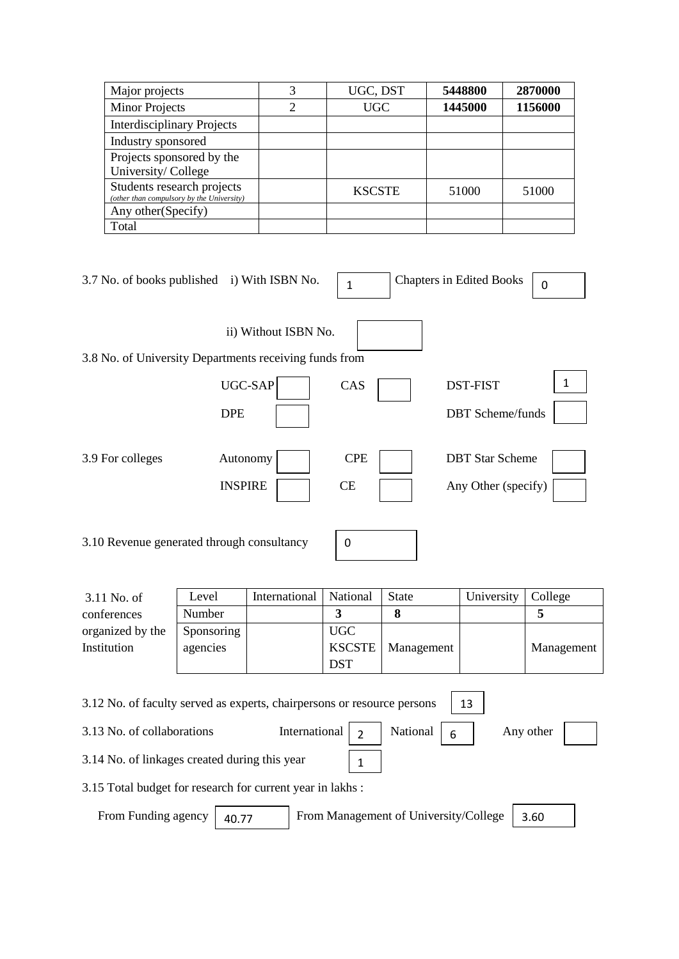| Major projects                                                          | 3 | UGC, DST      | 5448800 | 2870000 |
|-------------------------------------------------------------------------|---|---------------|---------|---------|
| <b>Minor Projects</b>                                                   | 2 | <b>UGC</b>    | 1445000 | 1156000 |
| <b>Interdisciplinary Projects</b>                                       |   |               |         |         |
| Industry sponsored                                                      |   |               |         |         |
| Projects sponsored by the                                               |   |               |         |         |
| University/College                                                      |   |               |         |         |
| Students research projects<br>(other than compulsory by the University) |   | <b>KSCSTE</b> | 51000   | 51000   |
| Any other (Specify)                                                     |   |               |         |         |
| Total                                                                   |   |               |         |         |

| 3.7 No. of books published i) With ISBN No.            |                            | 1                | <b>Chapters in Edited Books</b>               | 0 |
|--------------------------------------------------------|----------------------------|------------------|-----------------------------------------------|---|
| 3.8 No. of University Departments receiving funds from | ii) Without ISBN No.       |                  |                                               |   |
|                                                        | UGC-SAP<br><b>DPE</b>      | CAS              | <b>DST-FIST</b><br><b>DBT</b> Scheme/funds    |   |
| 3.9 For colleges                                       | Autonomy<br><b>INSPIRE</b> | <b>CPE</b><br>CE | <b>DBT</b> Star Scheme<br>Any Other (specify) |   |

3.10 Revenue generated through consultancy

|--|

| $3.11$ No. of    | Level      | International | National      | <b>State</b> | University | College    |
|------------------|------------|---------------|---------------|--------------|------------|------------|
| conferences      | Number     |               |               |              |            |            |
| organized by the | Sponsoring |               | <b>UGC</b>    |              |            |            |
| Institution      | agencies   |               | <b>KSCSTE</b> | Management   |            | Management |
|                  |            |               | <b>DST</b>    |              |            |            |

3.12 No. of faculty served as experts, chairpersons or resource persons 13

3.13 No. of collaborations International  $\begin{array}{|c|c|c|c|} \hline \end{array}$  National  $\begin{array}{|c|c|c|c|c|} \hline \end{array}$  Any other 3.14 No. of linkages created during this year National 1

3.15 Total budget for research for current year in lakhs :

From Funding agency | 40.77 | From Management of University/College | 3.60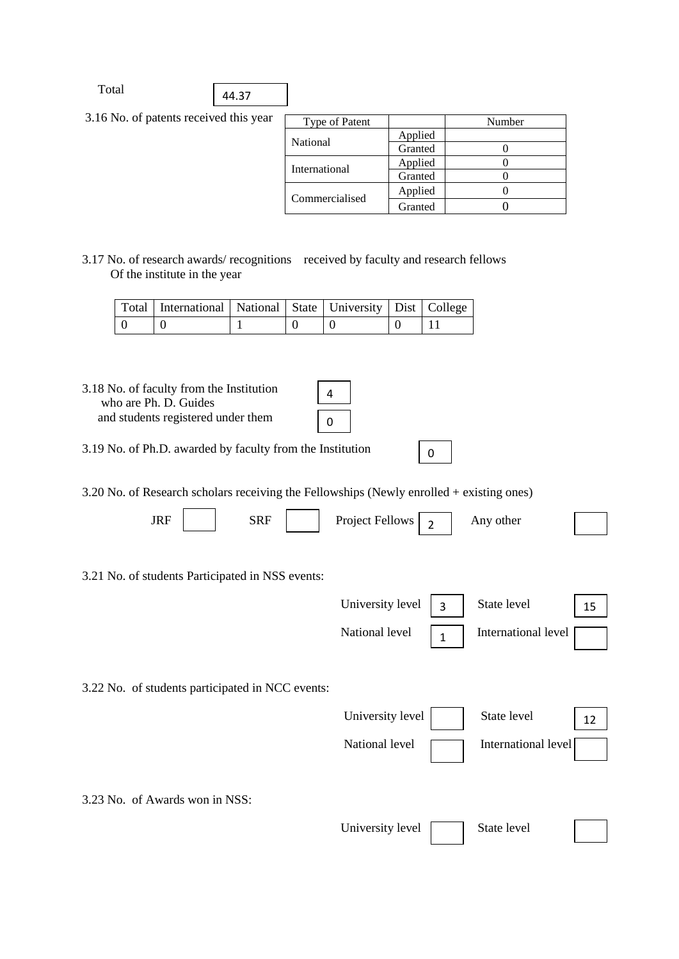3.16 No. of patents received this year

| Type of Patent  |         | Number |
|-----------------|---------|--------|
| <b>National</b> | Applied |        |
|                 | Granted |        |
| International   | Applied |        |
|                 | Granted |        |
| Commercialised  | Applied |        |
|                 | Granted |        |

0

3.17 No. of research awards/ recognitions received by faculty and research fellows Of the institute in the year

| Total   International   National   State   University   Dist   College |  |  |  |
|------------------------------------------------------------------------|--|--|--|
|                                                                        |  |  |  |

| 3.18 No. of faculty from the Institution<br>who are Ph. D. Guides |  |
|-------------------------------------------------------------------|--|
| and students registered under them                                |  |

3.19 No. of Ph.D. awarded by faculty from the Institution

3.20 No. of Research scholars receiving the Fellowships (Newly enrolled + existing ones)

| $\mathbf$<br>к<br>JILL | SRF | Fellows<br>$Pr$ nact<br>- | other<br>Anv |  |
|------------------------|-----|---------------------------|--------------|--|
|------------------------|-----|---------------------------|--------------|--|

3.21 No. of students Participated in NSS events:



3.22 No. of students participated in NCC events:

| University level  <br>State level     |  |
|---------------------------------------|--|
| International level<br>National level |  |
|                                       |  |

3.23 No. of Awards won in NSS:

| University level | State level |
|------------------|-------------|
|------------------|-------------|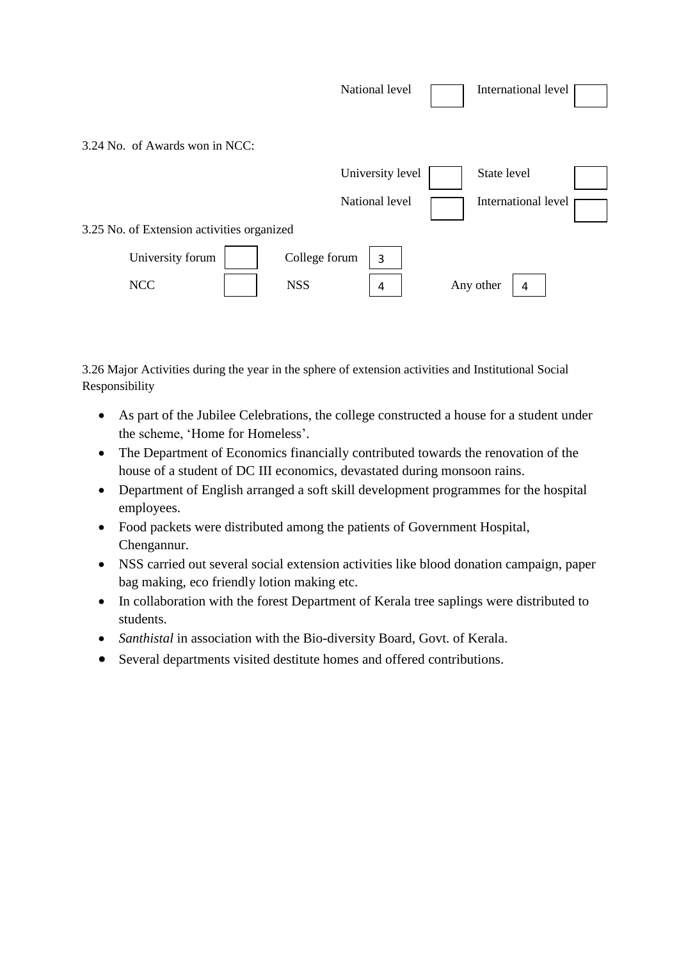|                                            | National level     | International level |
|--------------------------------------------|--------------------|---------------------|
| 3.24 No. of Awards won in NCC:             |                    |                     |
|                                            | University level   | State level         |
|                                            | National level     | International level |
| 3.25 No. of Extension activities organized |                    |                     |
| University forum                           | College forum<br>3 |                     |
| <b>NCC</b>                                 | <b>NSS</b><br>4    | Any other<br>4      |

3.26 Major Activities during the year in the sphere of extension activities and Institutional Social Responsibility

- As part of the Jubilee Celebrations, the college constructed a house for a student under the scheme, 'Home for Homeless'.
- The Department of Economics financially contributed towards the renovation of the house of a student of DC III economics, devastated during monsoon rains.
- Department of English arranged a soft skill development programmes for the hospital employees.
- Food packets were distributed among the patients of Government Hospital, Chengannur.
- NSS carried out several social extension activities like blood donation campaign, paper bag making, eco friendly lotion making etc.
- In collaboration with the forest Department of Kerala tree saplings were distributed to students.
- *Santhistal* in association with the Bio-diversity Board, Govt. of Kerala.
- Several departments visited destitute homes and offered contributions.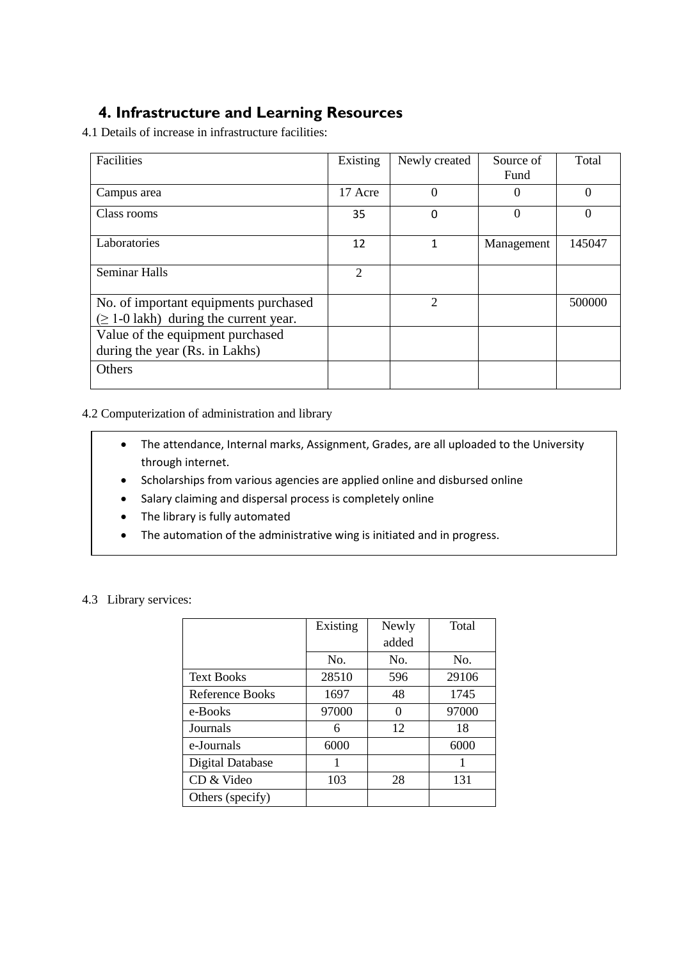# **4. Infrastructure and Learning Resources**

4.1 Details of increase in infrastructure facilities:

| Facilities                                                                           | Existing       | Newly created  | Source of<br>Fund | Total    |
|--------------------------------------------------------------------------------------|----------------|----------------|-------------------|----------|
| Campus area                                                                          | 17 Acre        | $\Omega$       | $\theta$          | $\theta$ |
| Class rooms                                                                          | 35             | 0              | 0                 | 0        |
| Laboratories                                                                         | 12             | 1              | Management        | 145047   |
| <b>Seminar Halls</b>                                                                 | $\mathfrak{D}$ |                |                   |          |
| No. of important equipments purchased<br>$(\geq 1$ -0 lakh) during the current year. |                | $\overline{2}$ |                   | 500000   |
| Value of the equipment purchased<br>during the year (Rs. in Lakhs)                   |                |                |                   |          |
| Others                                                                               |                |                |                   |          |

4.2 Computerization of administration and library

- The attendance, Internal marks, Assignment, Grades, are all uploaded to the University through internet.
- Scholarships from various agencies are applied online and disbursed online
- Salary claiming and dispersal process is completely online
- The library is fully automated
- The automation of the administrative wing is initiated and in progress.

|  | 4.3 Library services: |
|--|-----------------------|
|  |                       |

|                   | Existing | Newly | Total |
|-------------------|----------|-------|-------|
|                   |          | added |       |
|                   | No.      | No.   | No.   |
| <b>Text Books</b> | 28510    | 596   | 29106 |
| Reference Books   | 1697     | 48    | 1745  |
| e-Books           | 97000    | ∩     | 97000 |
| Journals          | 6        | 12    | 18    |
| e-Journals        | 6000     |       | 6000  |
| Digital Database  |          |       |       |
| CD & Video        | 103      | 28    | 131   |
| Others (specify)  |          |       |       |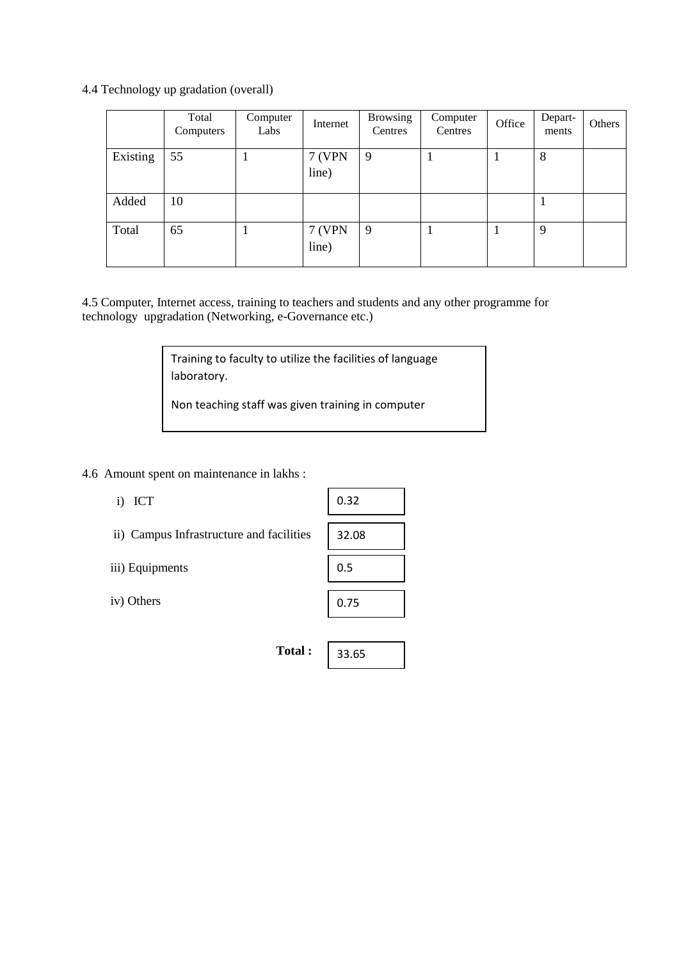## 4.4 Technology up gradation (overall)

|          | Total<br>Computers | Computer<br>Labs | Internet               | <b>Browsing</b><br>Centres | Computer<br>Centres | Office | Depart-<br>ments | Others |
|----------|--------------------|------------------|------------------------|----------------------------|---------------------|--------|------------------|--------|
| Existing | 55                 |                  | <b>7 (VPN</b><br>line) | 9                          |                     |        | 8                |        |
| Added    | 10                 |                  |                        |                            |                     |        |                  |        |
| Total    | 65                 |                  | <b>7 (VPN</b><br>line) | 9                          |                     |        | 9                |        |

4.5 Computer, Internet access, training to teachers and students and any other programme for technology upgradation (Networking, e-Governance etc.)

> Training to faculty to utilize the facilities of language laboratory.

Non teaching staff was given training in computer

4.6 Amount spent on maintenance in lakhs :

| ICT<br>i)                                | 0.32  |
|------------------------------------------|-------|
| ii) Campus Infrastructure and facilities | 32.08 |
| iii) Equipments                          | 0.5   |
| iv) Others                               | 0.75  |
|                                          |       |
| Total:                                   | 33.65 |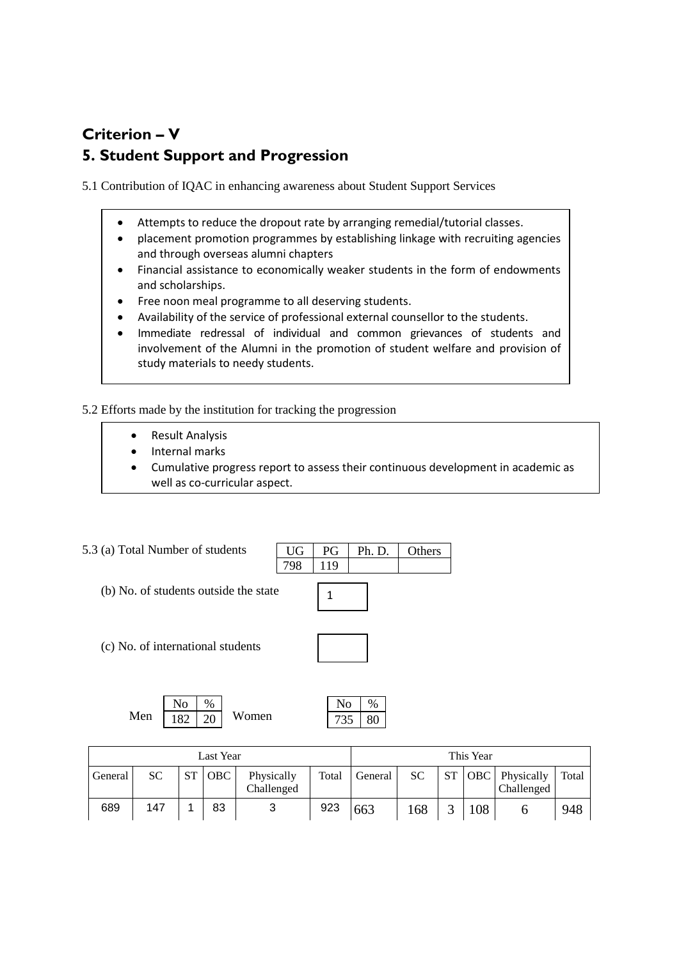# **Criterion – V 5. Student Support and Progression**

5.1 Contribution of IQAC in enhancing awareness about Student Support Services

- Attempts to reduce the dropout rate by arranging remedial/tutorial classes.
- placement promotion programmes by establishing linkage with recruiting agencies and through overseas alumni chapters
- Financial assistance to economically weaker students in the form of endowments and scholarships.
- Free noon meal programme to all deserving students.
- Availability of the service of professional external counsellor to the students.
- Immediate redressal of individual and common grievances of students and involvement of the Alumni in the promotion of student welfare and provision of study materials to needy students.

5.2 Efforts made by the institution for tracking the progression

- Result Analysis
- Internal marks
- Cumulative progress report to assess their continuous development in academic as well as co-curricular aspect.

 $UG$  PG Ph. D. Others

#### 5.3 (a) Total Number of students

- (b) No. of students outside the state
- (c) No. of international students



798 119

|                    | No. | $\frac{0}{0}$ |       |
|--------------------|-----|---------------|-------|
| Men   $182$   $20$ |     |               | Women |

| Last Year |           |           |            |                          |       | This Year |     |    |     |                                     |       |
|-----------|-----------|-----------|------------|--------------------------|-------|-----------|-----|----|-----|-------------------------------------|-------|
| General   | <b>SC</b> | <b>ST</b> | <b>OBC</b> | Physically<br>Challenged | Total | General   | SC. | ST |     | <b>OBC</b> Physically<br>Challenged | Total |
| 689       | 147       |           | 83         | 2                        | 923   | 663       | 168 | ⌒  | 108 |                                     | 948   |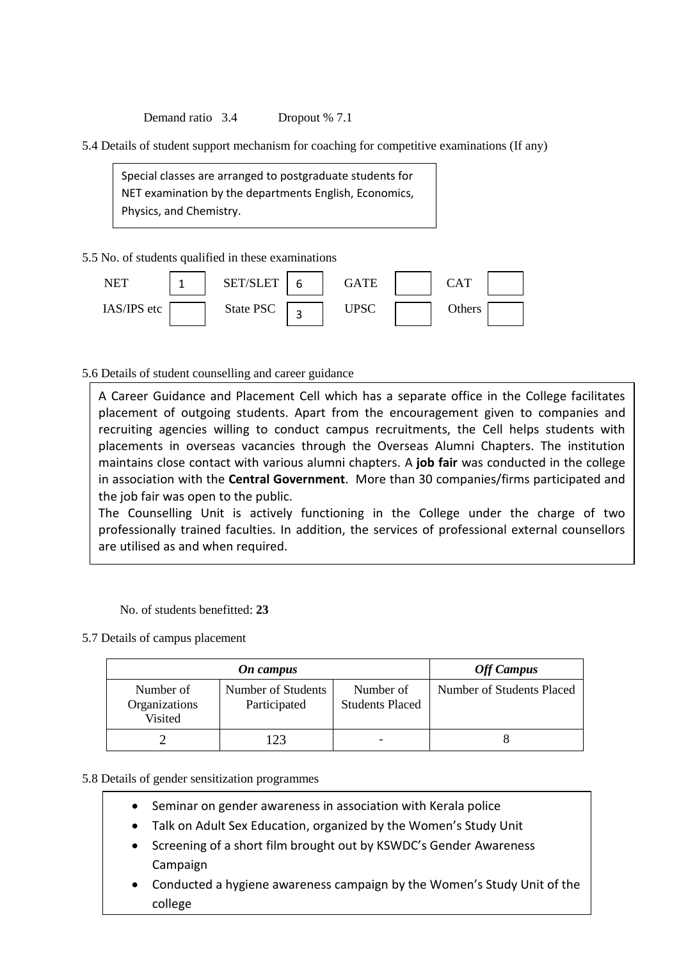Demand ratio 3.4 Dropout % 7.1

5.4 Details of student support mechanism for coaching for competitive examinations (If any)

Special classes are arranged to postgraduate students for NET examination by the departments English, Economics, Physics, and Chemistry.

5.5 No. of students qualified in these examinations



5.6 Details of student counselling and career guidance

A Career Guidance and Placement Cell which has a separate office in the College facilitates placement of outgoing students. Apart from the encouragement given to companies and recruiting agencies willing to conduct campus recruitments, the Cell helps students with placements in overseas vacancies through the Overseas Alumni Chapters. The institution maintains close contact with various alumni chapters. A **job fair** was conducted in the college in association with the **Central Government**. More than 30 companies/firms participated and the job fair was open to the public.

The Counselling Unit is actively functioning in the College under the charge of two professionally trained faculties. In addition, the services of professional external counsellors are utilised as and when required.

No. of students benefitted: **23**

5.7 Details of campus placement

|                                       | <b>Off Campus</b>                  |                                     |                           |
|---------------------------------------|------------------------------------|-------------------------------------|---------------------------|
| Number of<br>Organizations<br>Visited | Number of Students<br>Participated | Number of<br><b>Students Placed</b> | Number of Students Placed |
|                                       |                                    |                                     |                           |

#### 5.8 Details of gender sensitization programmes

- Seminar on gender awareness in association with Kerala police
- Talk on Adult Sex Education, organized by the Women's Study Unit
- Screening of a short film brought out by KSWDC's Gender Awareness Campaign
- Conducted a hygiene awareness campaign by the Women's Study Unit of the college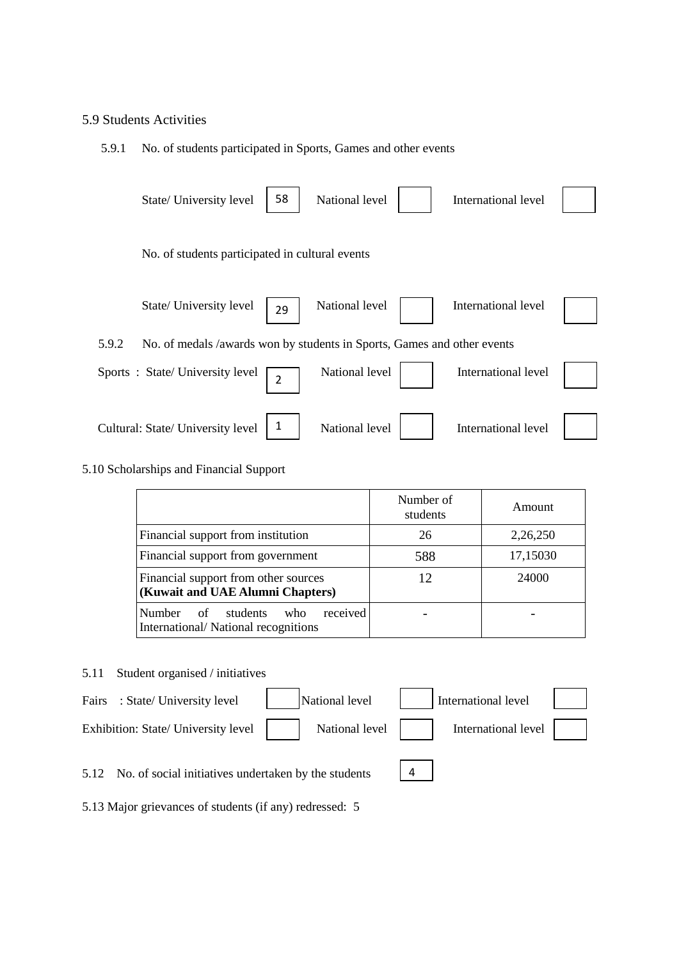#### 5.9 Students Activities

#### 5.9.1 No. of students participated in Sports, Games and other events

| State/ University level                                                          | 58             | National level | International level |  |
|----------------------------------------------------------------------------------|----------------|----------------|---------------------|--|
| No. of students participated in cultural events                                  |                |                |                     |  |
| State/ University level                                                          | 29             | National level | International level |  |
| 5.9.2<br>No. of medals /awards won by students in Sports, Games and other events |                |                |                     |  |
| Sports: State/University level                                                   | $\overline{2}$ | National level | International level |  |
| Cultural: State/ University level                                                | 1              | National level | International level |  |

### 5.10 Scholarships and Financial Support

|                                                                                           | Number of<br>students | Amount   |
|-------------------------------------------------------------------------------------------|-----------------------|----------|
| Financial support from institution                                                        | 26                    | 2,26,250 |
| Financial support from government                                                         | 588                   | 17,15030 |
| Financial support from other sources<br>(Kuwait and UAE Alumni Chapters)                  | 12                    | 24000    |
| received<br><b>Number</b><br>students<br>of<br>who<br>International/National recognitions |                       |          |

#### 5.11 Student organised / initiatives



5.13 Major grievances of students (if any) redressed: 5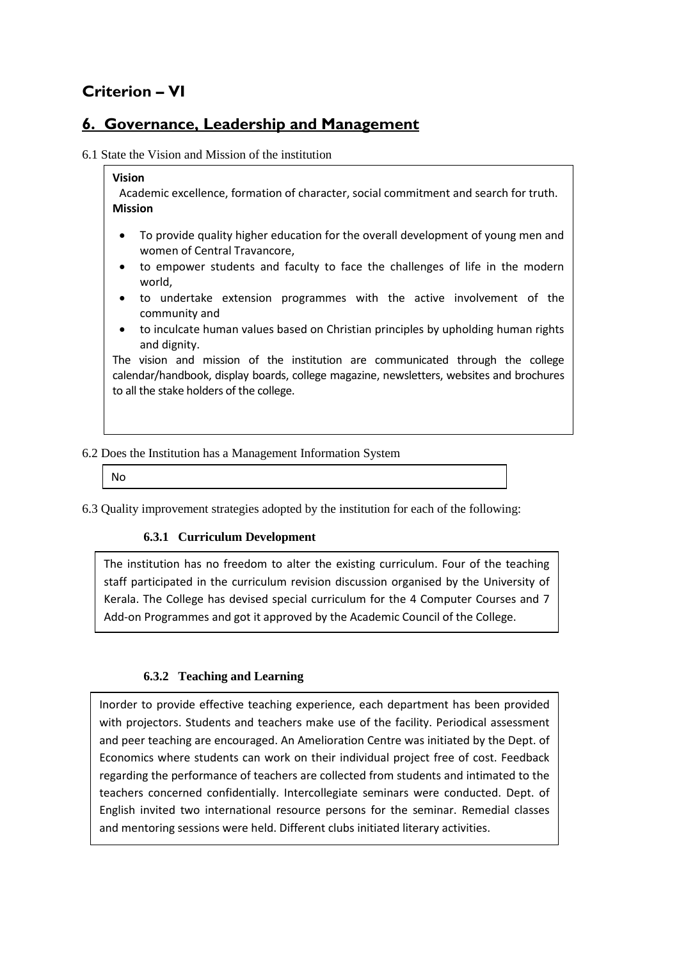# **Criterion – VI**

## **6. Governance, Leadership and Management**

6.1 State the Vision and Mission of the institution

#### **Vision**

Academic excellence, formation of character, social commitment and search for truth. **Mission**

- To provide quality higher education for the overall development of young men and women of Central Travancore,
- to empower students and faculty to face the challenges of life in the modern world,
- to undertake extension programmes with the active involvement of the community and
- to inculcate human values based on Christian principles by upholding human rights and dignity.

The vision and mission of the institution are communicated through the college calendar/handbook, display boards, college magazine, newsletters, websites and brochures to all the stake holders of the college.

### 6.2 Does the Institution has a Management Information System

No

6.3 Quality improvement strategies adopted by the institution for each of the following:

### **6.3.1 Curriculum Development**

The institution has no freedom to alter the existing curriculum. Four of the teaching staff participated in the curriculum revision discussion organised by the University of Kerala. The College has devised special curriculum for the 4 Computer Courses and 7 Add-on Programmes and got it approved by the Academic Council of the College.

### **6.3.2 Teaching and Learning**

Inorder to provide effective teaching experience, each department has been provided with projectors. Students and teachers make use of the facility. Periodical assessment and peer teaching are encouraged. An Amelioration Centre was initiated by the Dept. of Economics where students can work on their individual project free of cost. Feedback regarding the performance of teachers are collected from students and intimated to the teachers concerned confidentially. Intercollegiate seminars were conducted. Dept. of English invited two international resource persons for the seminar. Remedial classes and mentoring sessions were held. Different clubs initiated literary activities.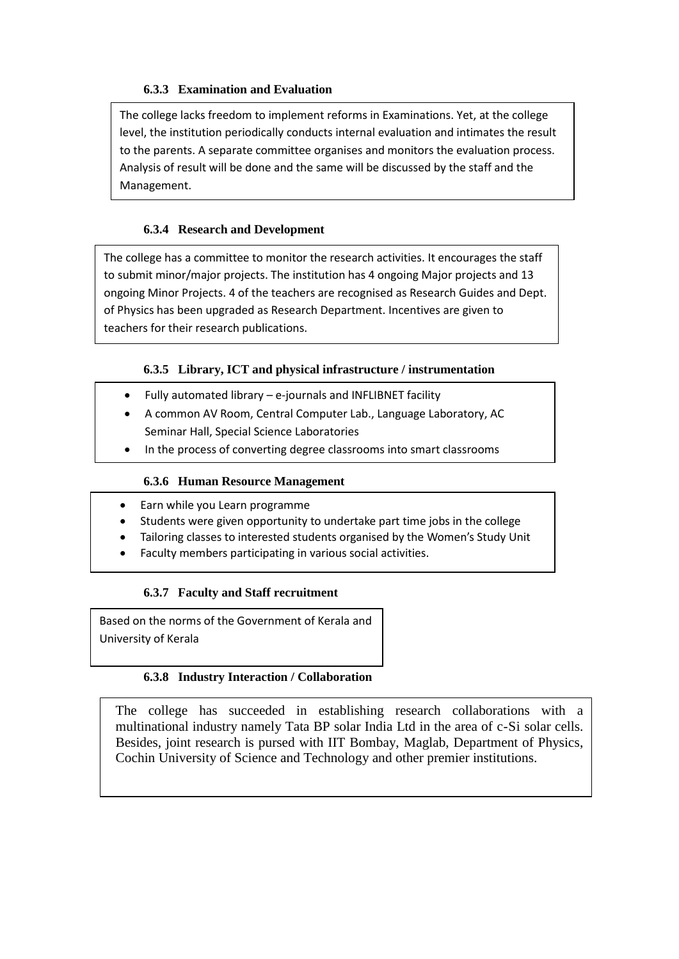## **6.3.3 Examination and Evaluation**

The college lacks freedom to implement reforms in Examinations. Yet, at the college level, the institution periodically conducts internal evaluation and intimates the result to the parents. A separate committee organises and monitors the evaluation process. Analysis of result will be done and the same will be discussed by the staff and the Management.

### **6.3.4 Research and Development**

The college has a committee to monitor the research activities. It encourages the staff to submit minor/major projects. The institution has 4 ongoing Major projects and 13 ongoing Minor Projects. 4 of the teachers are recognised as Research Guides and Dept. of Physics has been upgraded as Research Department. Incentives are given to teachers for their research publications.

## **6.3.5 Library, ICT and physical infrastructure / instrumentation**

- Fully automated library e-journals and INFLIBNET facility
- A common AV Room, Central Computer Lab., Language Laboratory, AC Seminar Hall, Special Science Laboratories
- In the process of converting degree classrooms into smart classrooms

### **6.3.6 Human Resource Management**

- Earn while you Learn programme
- Students were given opportunity to undertake part time jobs in the college
- Tailoring classes to interested students organised by the Women's Study Unit
- Faculty members participating in various social activities.

### **6.3.7 Faculty and Staff recruitment**

Based on the norms of the Government of Kerala and University of Kerala

## **6.3.8 Industry Interaction / Collaboration**

The college has succeeded in establishing research collaborations with a multinational industry namely Tata BP solar India Ltd in the area of c-Si solar cells. Besides, joint research is pursed with IIT Bombay, Maglab, Department of Physics, Cochin University of Science and Technology and other premier institutions.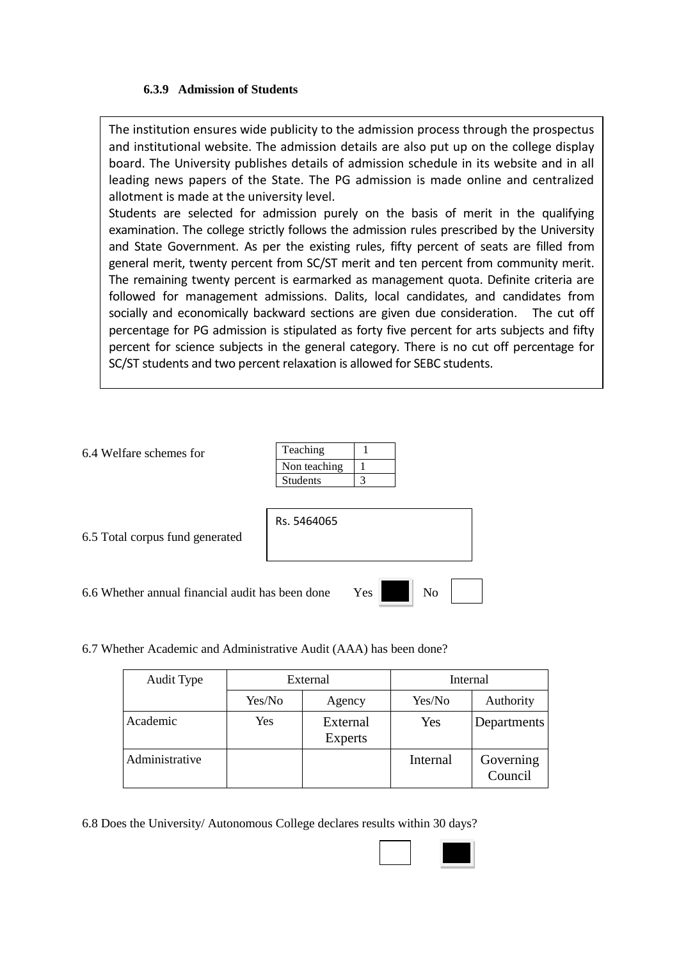#### **6.3.9 Admission of Students**

The institution ensures wide publicity to the admission process through the prospectus and institutional website. The admission details are also put up on the college display board. The University publishes details of admission schedule in its website and in all leading news papers of the State. The PG admission is made online and centralized allotment is made at the university level.

Students are selected for admission purely on the basis of merit in the qualifying examination. The college strictly follows the admission rules prescribed by the University and State Government. As per the existing rules, fifty percent of seats are filled from general merit, twenty percent from SC/ST merit and ten percent from community merit. The remaining twenty percent is earmarked as management quota. Definite criteria are followed for management admissions. Dalits, local candidates, and candidates from socially and economically backward sections are given due consideration. The cut off percentage for PG admission is stipulated as forty five percent for arts subjects and fifty percent for science subjects in the general category. There is no cut off percentage for SC/ST students and two percent relaxation is allowed for SEBC students.

| 6.4 Welfare schemes for                          | Teaching        |     |                |  |
|--------------------------------------------------|-----------------|-----|----------------|--|
|                                                  | Non teaching    |     |                |  |
|                                                  | <b>Students</b> | 3   |                |  |
|                                                  |                 |     |                |  |
|                                                  | Rs. 5464065     |     |                |  |
| 6.5 Total corpus fund generated                  |                 |     |                |  |
|                                                  |                 |     |                |  |
|                                                  |                 |     |                |  |
| 6.6 Whether annual financial audit has been done |                 | Yes | N <sub>o</sub> |  |

6.7 Whether Academic and Administrative Audit (AAA) has been done?

| Audit Type     | External |                            | Internal |                      |  |
|----------------|----------|----------------------------|----------|----------------------|--|
|                | Yes/No   | Agency                     | Yes/No   | Authority            |  |
| Academic       | Yes      | External<br><b>Experts</b> | Yes      | Departments          |  |
| Administrative |          |                            | Internal | Governing<br>Council |  |

6.8 Does the University/ Autonomous College declares results within 30 days?

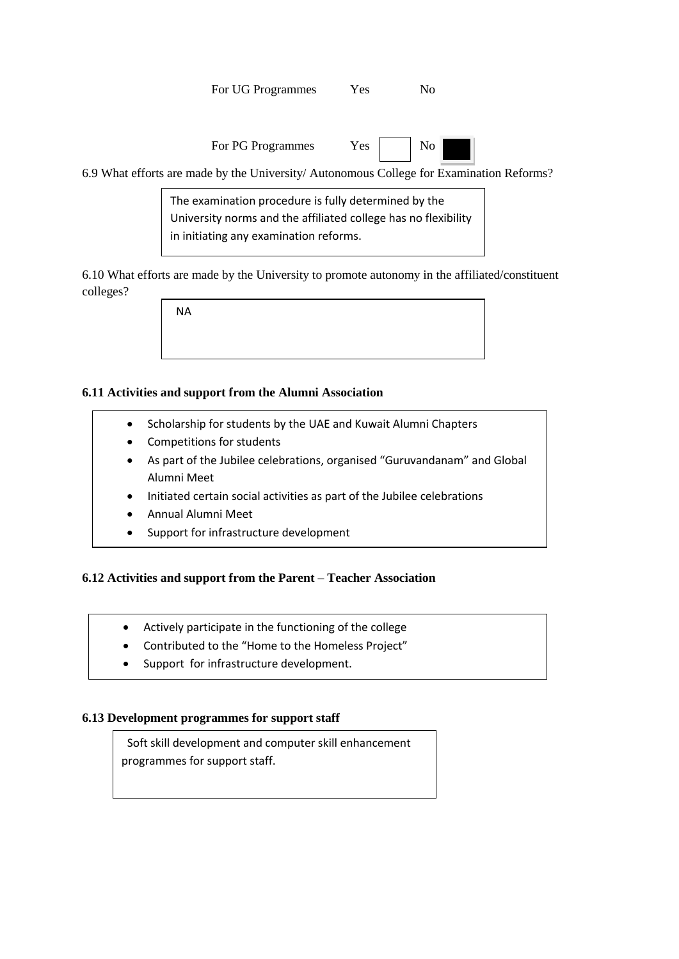For UG Programmes Yes No

| For PG Programmes | Yes | No |
|-------------------|-----|----|
|                   |     |    |

6.9 What efforts are made by the University/ Autonomous College for Examination Reforms?

The examination procedure is fully determined by the University norms and the affiliated college has no flexibility in initiating any examination reforms.

6.10 What efforts are made by the University to promote autonomy in the affiliated/constituent colleges?

NA

## **6.11 Activities and support from the Alumni Association**

- Scholarship for students by the UAE and Kuwait Alumni Chapters
- Competitions for students
- As part of the Jubilee celebrations, organised "Guruvandanam" and Global Alumni Meet
- Initiated certain social activities as part of the Jubilee celebrations
- Annual Alumni Meet
- Support for infrastructure development

#### **6.12 Activities and support from the Parent – Teacher Association**

- Actively participate in the functioning of the college
- Contributed to the "Home to the Homeless Project"
- Support for infrastructure development.

#### **6.13 Development programmes for support staff**

• Welfare programme for students

 Soft skill development and computer skill enhancement programmes for support staff.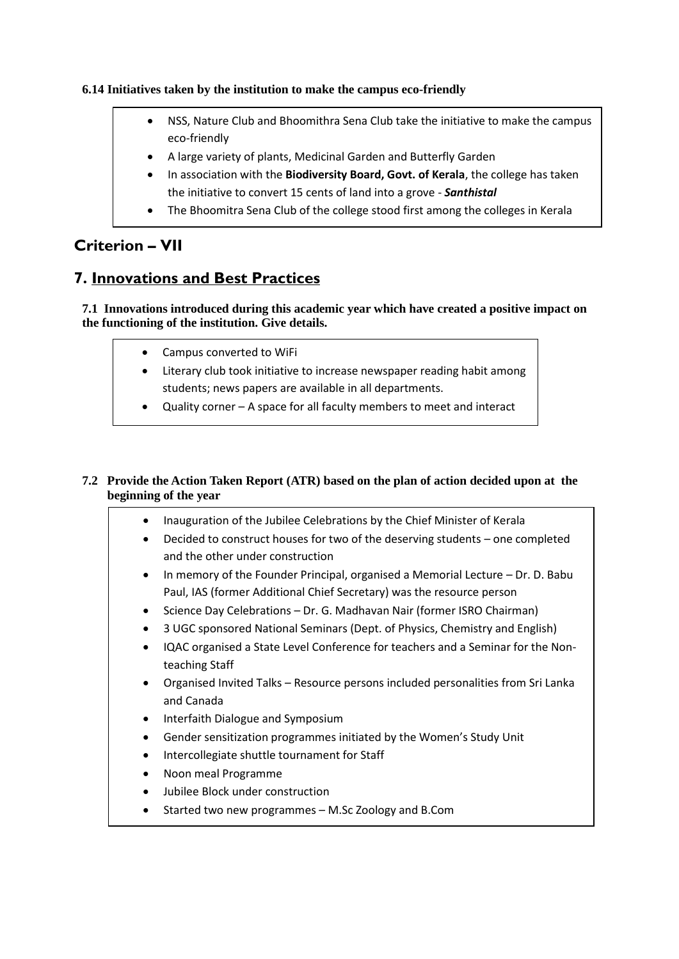### **6.14 Initiatives taken by the institution to make the campus eco-friendly**

- NSS, Nature Club and Bhoomithra Sena Club take the initiative to make the campus eco-friendly
- A large variety of plants, Medicinal Garden and Butterfly Garden
- In association with the **Biodiversity Board, Govt. of Kerala**, the college has taken the initiative to convert 15 cents of land into a grove - *Santhistal*
- The Bhoomitra Sena Club of the college stood first among the colleges in Kerala

# **Criterion – VII**

## **7. Innovations and Best Practices**

**7.1 Innovations introduced during this academic year which have created a positive impact on the functioning of the institution. Give details.**

- Campus converted to WiFi
- Literary club took initiative to increase newspaper reading habit among students; news papers are available in all departments.
- Quality corner A space for all faculty members to meet and interact

## **7.2 Provide the Action Taken Report (ATR) based on the plan of action decided upon at the beginning of the year**

• Conversion of final year degree classrooms to Smart Classrooms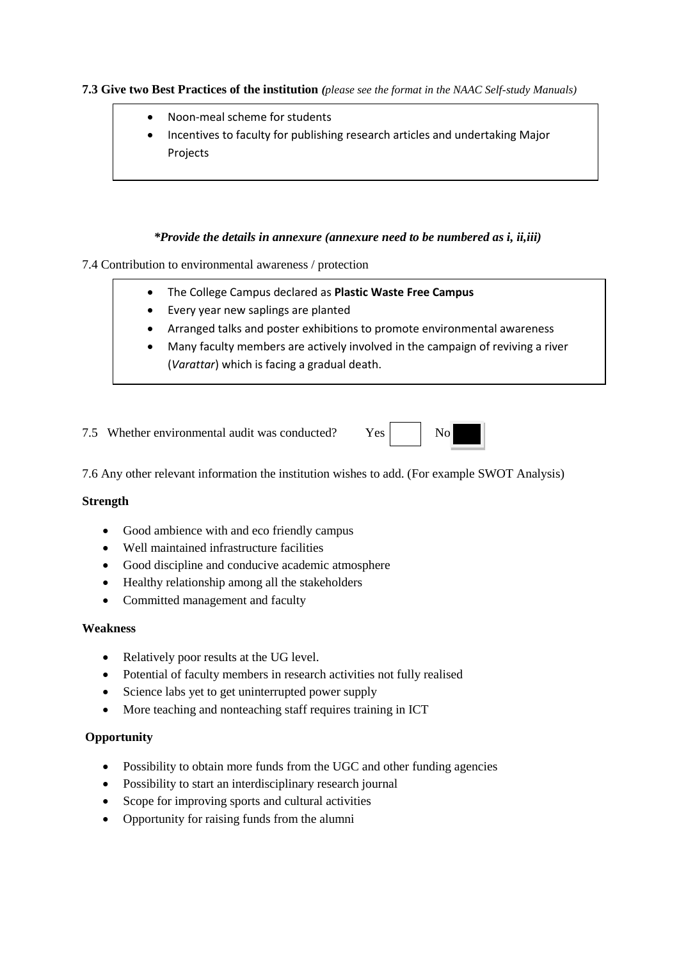#### **7.3 Give two Best Practices of the institution** *(please see the format in the NAAC Self-study Manuals)*

- Noon-meal scheme for students
- Incentives to faculty for publishing research articles and undertaking Major Projects

#### *\*Provide the details in annexure (annexure need to be numbered as i, ii,iii)*

#### 7.4 Contribution to environmental awareness / protection

- The College Campus declared as **Plastic Waste Free Campus**
- Every year new saplings are planted
- Arranged talks and poster exhibitions to promote environmental awareness
- Many faculty members are actively involved in the campaign of reviving a river (*Varattar*) which is facing a gradual death.

7.5 Whether environmental audit was conducted? Yes No



7.6 Any other relevant information the institution wishes to add. (For example SWOT Analysis)

#### **Strength**

- Good ambience with and eco friendly campus
- Well maintained infrastructure facilities
- Good discipline and conducive academic atmosphere
- Healthy relationship among all the stakeholders
- Committed management and faculty

#### **Weakness**

- Relatively poor results at the UG level.
- Potential of faculty members in research activities not fully realised
- Science labs yet to get uninterrupted power supply
- More teaching and nonteaching staff requires training in ICT

#### **Opportunity**

- Possibility to obtain more funds from the UGC and other funding agencies
- Possibility to start an interdisciplinary research journal
- Scope for improving sports and cultural activities
- Opportunity for raising funds from the alumni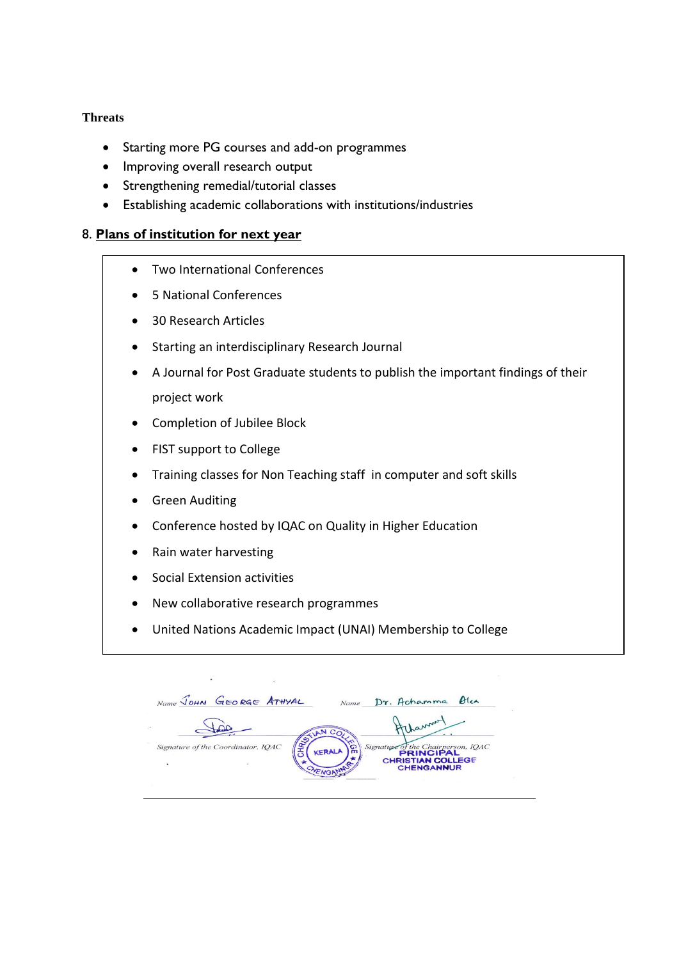### **Threats**

- Starting more PG courses and add-on programmes
- Improving overall research output
- Strengthening remedial/tutorial classes
- Establishing academic collaborations with institutions/industries

## 8. **Plans of institution for next year**

- Two International Conferences
- 5 National Conferences
- 30 Research Articles
- Starting an interdisciplinary Research Journal
- A Journal for Post Graduate students to publish the important findings of their project work
- Completion of Jubilee Block
- FIST support to College
- Training classes for Non Teaching staff in computer and soft skills
- Green Auditing
- Conference hosted by IQAC on Quality in Higher Education
- Rain water harvesting
- Social Extension activities
- New collaborative research programmes
- United Nations Academic Impact (UNAI) Membership to College

Name JOHN GEORGE ATHYAL Name Dr. Achamma Olea Thanne Signature of the Coordinator, IQAC of the Chairperson, IQAC Signature o **KFR** CHRISTIAN COLLEGE